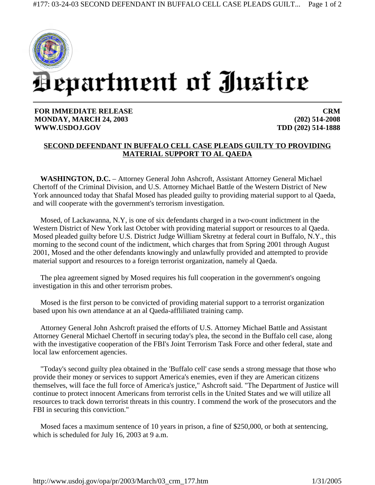

**FOR IMMEDIATE RELEASE MONDAY, MARCH 24, 2003 WWW.USDOJ.GOV** 

**CRM (202) 514-2008 TDD (202) 514-1888**

## **SECOND DEFENDANT IN BUFFALO CELL CASE PLEADS GUILTY TO PROVIDING MATERIAL SUPPORT TO AL QAEDA**

**WASHINGTON, D.C.** – Attorney General John Ashcroft, Assistant Attorney General Michael Chertoff of the Criminal Division, and U.S. Attorney Michael Battle of the Western District of New York announced today that Shafal Mosed has pleaded guilty to providing material support to al Qaeda, and will cooperate with the government's terrorism investigation.

Mosed, of Lackawanna, N.Y, is one of six defendants charged in a two-count indictment in the Western District of New York last October with providing material support or resources to al Qaeda. Mosed pleaded guilty before U.S. District Judge William Skretny at federal court in Buffalo, N.Y., this morning to the second count of the indictment, which charges that from Spring 2001 through August 2001, Mosed and the other defendants knowingly and unlawfully provided and attempted to provide material support and resources to a foreign terrorist organization, namely al Qaeda.

The plea agreement signed by Mosed requires his full cooperation in the government's ongoing investigation in this and other terrorism probes.

Mosed is the first person to be convicted of providing material support to a terrorist organization based upon his own attendance at an al Qaeda-affliliated training camp.

Attorney General John Ashcroft praised the efforts of U.S. Attorney Michael Battle and Assistant Attorney General Michael Chertoff in securing today's plea, the second in the Buffalo cell case, along with the investigative cooperation of the FBI's Joint Terrorism Task Force and other federal, state and local law enforcement agencies.

"Today's second guilty plea obtained in the 'Buffalo cell' case sends a strong message that those who provide their money or services to support America's enemies, even if they are American citizens themselves, will face the full force of America's justice," Ashcroft said. "The Department of Justice will continue to protect innocent Americans from terrorist cells in the United States and we will utilize all resources to track down terrorist threats in this country. I commend the work of the prosecutors and the FBI in securing this conviction."

Mosed faces a maximum sentence of 10 years in prison, a fine of \$250,000, or both at sentencing, which is scheduled for July 16, 2003 at 9 a.m.